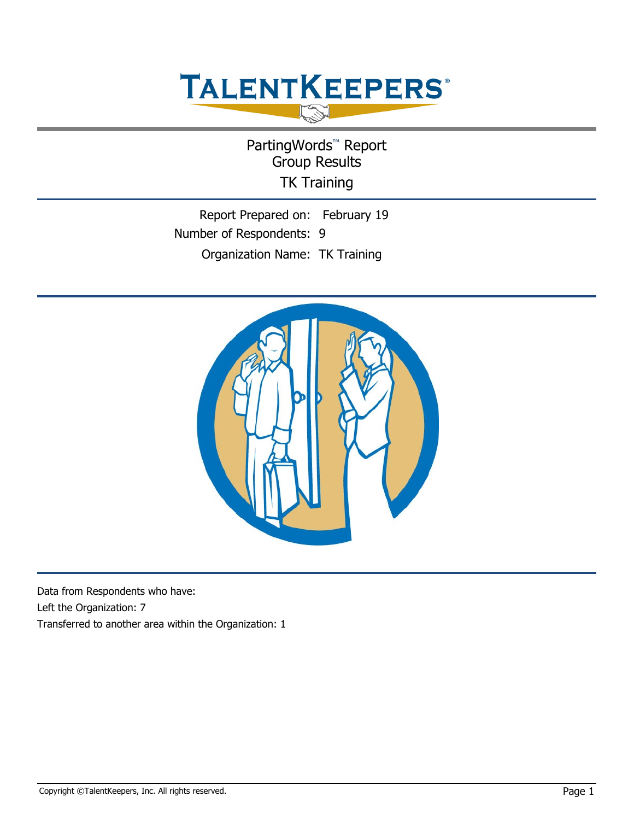# **TALENTKEEPERS®**

PartingWords<sup>™</sup> Report Group Results TK Training

Report Prepared on: February 19 Number of Respondents: 9 Organization Name: TK Training



Data from Respondents who have: Left the Organization: 7 Transferred to another area within the Organization: 1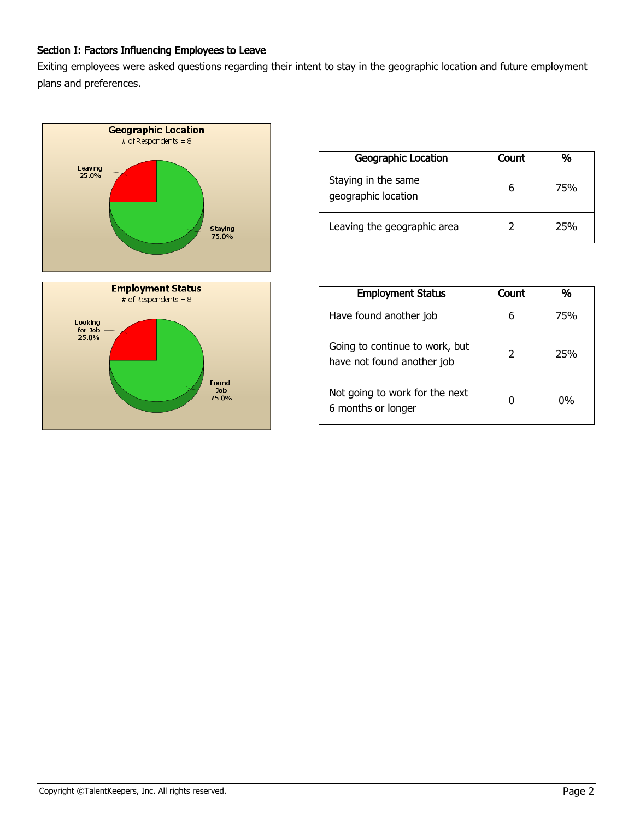# Section I: Factors Influencing Employees to Leave

Exiting employees were asked questions regarding their intent to stay in the geographic location and future employment plans and preferences.



| <b>Geographic Location</b>                 | <b>Count</b> |     |
|--------------------------------------------|--------------|-----|
| Staying in the same<br>geographic location |              | 75% |
| Leaving the geographic area                | 2            | 25% |

| <b>Employment Status</b>                                     | <b>Count</b>  | %   |
|--------------------------------------------------------------|---------------|-----|
| Have found another job                                       | 6             | 75% |
| Going to continue to work, but<br>have not found another job | $\mathcal{P}$ | 25% |
| Not going to work for the next<br>6 months or longer         |               | በ%  |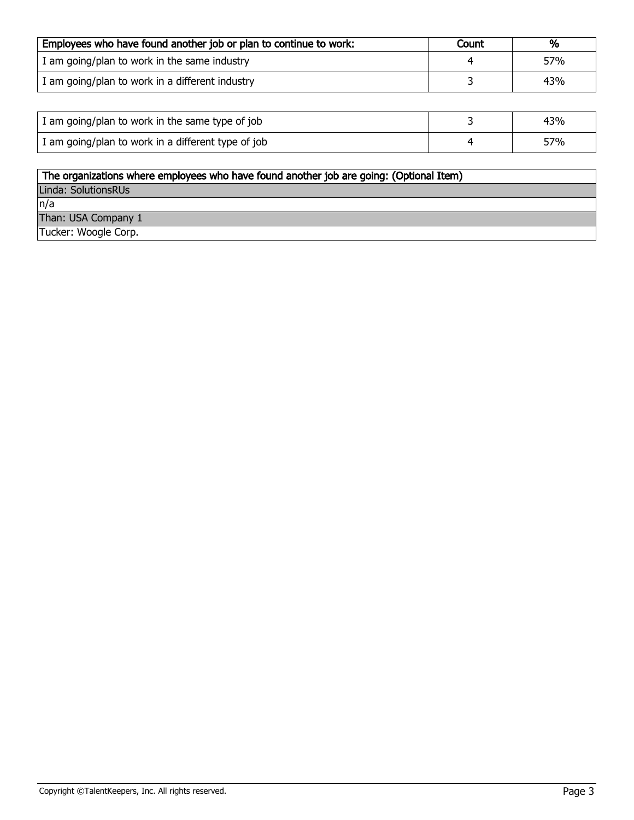| Employees who have found another job or plan to continue to work: | Count | %   |
|-------------------------------------------------------------------|-------|-----|
| I am going/plan to work in the same industry                      |       | 57% |
| I am going/plan to work in a different industry                   |       | 43% |

| I am going/plan to work in the same type of job    | 43% |
|----------------------------------------------------|-----|
| I am going/plan to work in a different type of job | 57% |

| The organizations where employees who have found another job are going: (Optional Item) |
|-----------------------------------------------------------------------------------------|
| Linda: SolutionsRUs                                                                     |
| n/a                                                                                     |
| Than: USA Company 1                                                                     |
| Tucker: Woogle Corp.                                                                    |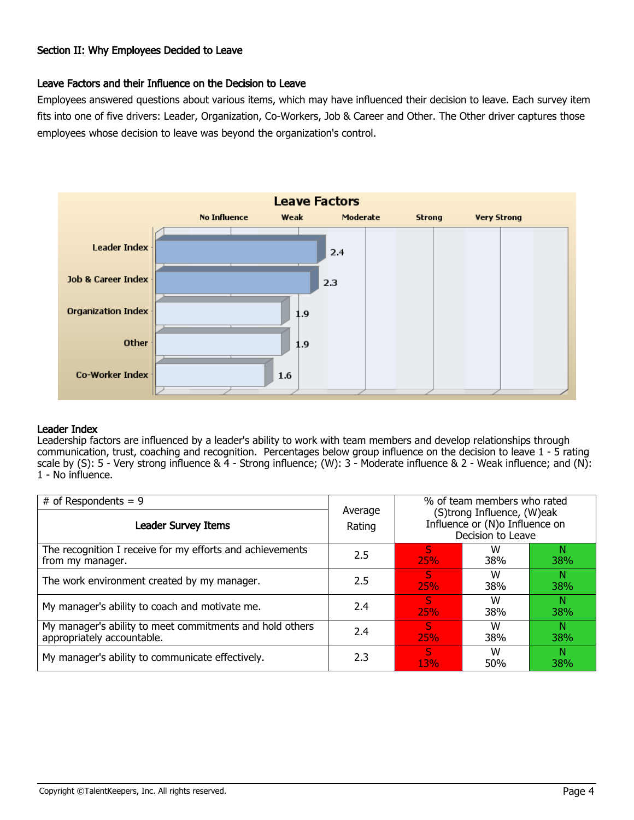## Section II: Why Employees Decided to Leave

## Leave Factors and their Influence on the Decision to Leave

Employees answered questions about various items, which may have influenced their decision to leave. Each survey item fits into one of five drivers: Leader, Organization, Co-Workers, Job & Career and Other. The Other driver captures those employees whose decision to leave was beyond the organization's control.



#### Leader Index

Leadership factors are influenced by a leader's ability to work with team members and develop relationships through communication, trust, coaching and recognition. Percentages below group influence on the decision to leave 1 - 5 rating scale by (S):  $5 -$  Very strong influence &  $\overline{4}$  - Strong influence; (W):  $3 -$  Moderate influence & 2 - Weak influence; and (N): 1 - No influence.

| # of Respondents = $9$                                                                 |                   |                 | % of team members who rated<br>(S)trong Influence, (W)eak |                  |  |
|----------------------------------------------------------------------------------------|-------------------|-----------------|-----------------------------------------------------------|------------------|--|
| <b>Leader Survey Items</b>                                                             | Average<br>Rating |                 | Influence or (N) oInfluence on<br>Decision to Leave       |                  |  |
| The recognition I receive for my efforts and achievements<br>from my manager.          | 2.5               | S<br><b>25%</b> | w<br><b>38%</b>                                           | N<br><b>38%</b>  |  |
| The work environment created by my manager.                                            | 2.5               | S<br>25%        | W<br><b>38%</b>                                           | N<br><b>38%</b>  |  |
| My manager's ability to coach and motivate me.                                         | 2.4               | <b>S</b><br>25% | w<br><b>38%</b>                                           | N<br>38%         |  |
| My manager's ability to meet commitments and hold others<br>appropriately accountable. | 2.4               | S<br><b>25%</b> | w<br>38%                                                  | N.<br><b>38%</b> |  |
| My manager's ability to communicate effectively.                                       | 2.3               | S<br>13%        | w<br>50%                                                  | N<br><b>38%</b>  |  |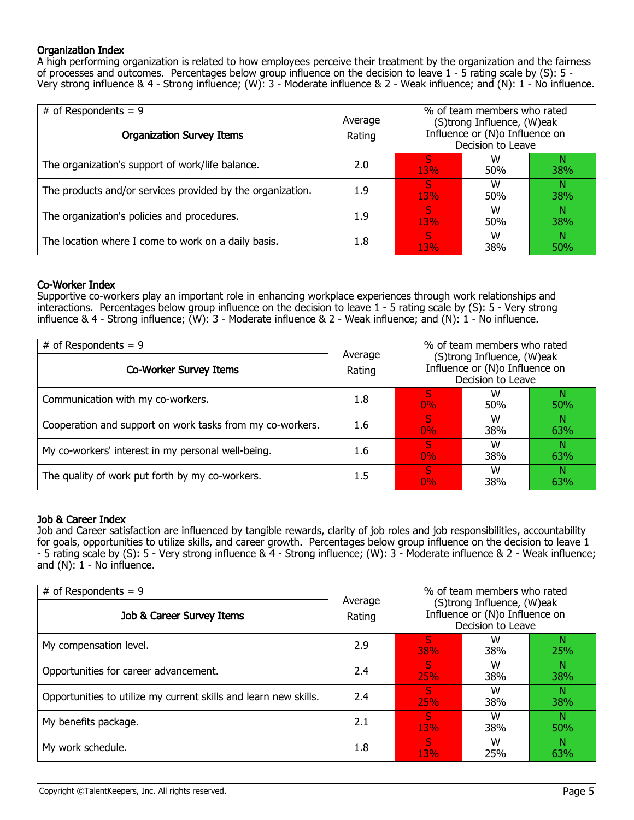## Organization Index

A high performing organization is related to how employees perceive their treatment by the organization and the fairness of processes and outcomes. Percentages below group influence on the decision to leave 1 - 5 rating scale by (S): 5 - Very strong influence & 4 - Strong influence; (W): 3 - Moderate influence & 2 - Weak influence; and (N): 1 - No influence.

| # of Respondents = $9$                                     |                   | % of team members who rated<br>(S)trong Influence, (W)eak |                                                     |                 |  |
|------------------------------------------------------------|-------------------|-----------------------------------------------------------|-----------------------------------------------------|-----------------|--|
| <b>Organization Survey Items</b>                           | Average<br>Rating |                                                           | Influence or (N)o Influence on<br>Decision to Leave |                 |  |
| The organization's support of work/life balance.           | 2.0               | S<br>13%                                                  | W<br>50%                                            | <b>38%</b>      |  |
| The products and/or services provided by the organization. | 1.9               | S<br>13%                                                  | w<br>50%                                            | Ν<br><b>38%</b> |  |
| The organization's policies and procedures.                | 1.9               | S<br>13%                                                  | W<br>50%                                            | Ν<br><b>38%</b> |  |
| The location where I come to work on a daily basis.        | 1.8               | S<br>13%                                                  | W<br>38%                                            | Ν<br>50%        |  |

#### Co-Worker Index

Supportive co-workers play an important role in enhancing workplace experiences through work relationships and interactions. Percentages below group influence on the decision to leave 1 - 5 rating scale by (S): 5 - Very strong influence & 4 - Strong influence; (W): 3 - Moderate influence & 2 - Weak influence; and (N): 1 - No influence.

| # of Respondents = $9$                                    |                   | % of team members who rated<br>(S)trong Influence, (W)eak<br>Influence or (N) oInfluence on<br>Decision to Leave |          |            |
|-----------------------------------------------------------|-------------------|------------------------------------------------------------------------------------------------------------------|----------|------------|
| Co-Worker Survey Items                                    | Average<br>Rating |                                                                                                                  |          |            |
| Communication with my co-workers.                         | 1.8               | 0%                                                                                                               | w<br>50% | <b>50%</b> |
| Cooperation and support on work tasks from my co-workers. | 1.6               | 0%                                                                                                               | w<br>38% | 63%        |
| My co-workers' interest in my personal well-being.        | 1.6               | S.<br>0%                                                                                                         | w<br>38% | Ν<br>63%   |
| The quality of work put forth by my co-workers.           | 1.5               | S<br>0%                                                                                                          | w<br>38% | 63%        |

#### Job & Career Index

Job and Career satisfaction are influenced by tangible rewards, clarity of job roles and job responsibilities, accountability for goals, opportunities to utilize skills, and career growth. Percentages below group influence on the decision to leave 1 - 5 rating scale by (S): 5 - Very strong influence & 4 - Strong influence; (W): 3 - Moderate influence & 2 - Weak influence; and  $(N)$ :  $1 - No$  influence.

| # of Respondents = $9$<br>Job & Career Survey Items              | % of team members who rated<br>Average<br>(S)trong Influence, (W)eak<br>Influence or (N) oInfluence on<br>Rating |                 |                   |                 |  |
|------------------------------------------------------------------|------------------------------------------------------------------------------------------------------------------|-----------------|-------------------|-----------------|--|
|                                                                  |                                                                                                                  |                 | Decision to Leave |                 |  |
| My compensation level.                                           | 2.9                                                                                                              | S<br><b>38%</b> | w<br><b>38%</b>   | N<br>25%        |  |
| Opportunities for career advancement.                            | 2.4                                                                                                              | S<br>25%        | w<br><b>38%</b>   | N<br><b>38%</b> |  |
| Opportunities to utilize my current skills and learn new skills. | 2.4                                                                                                              | S<br>25%        | w<br>38%          | N<br><b>38%</b> |  |
| My benefits package.                                             | 2.1                                                                                                              | S<br>13%        | W<br>38%          | N<br><b>50%</b> |  |
| My work schedule.                                                | 1.8                                                                                                              | S<br>13%        | w<br>25%          | N<br>63%        |  |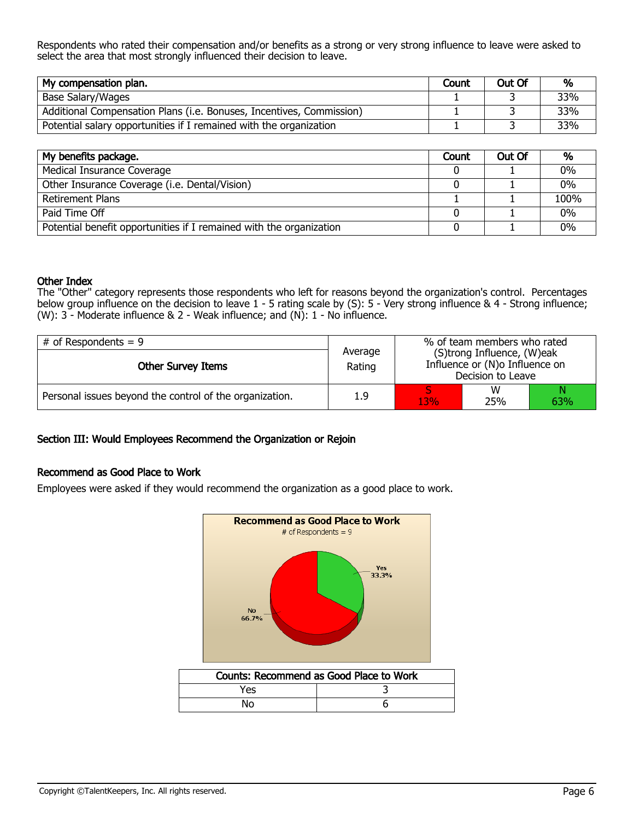Respondents who rated their compensation and/or benefits as a strong or very strong influence to leave were asked to select the area that most strongly influenced their decision to leave.

| My compensation plan.                                                | Count | Out Of | %   |
|----------------------------------------------------------------------|-------|--------|-----|
| Base Salary/Wages                                                    |       |        | 33% |
| Additional Compensation Plans (i.e. Bonuses, Incentives, Commission) |       |        | 33% |
| Potential salary opportunities if I remained with the organization   |       |        | 33% |

| My benefits package.                                                | Count | Out Of | %     |
|---------------------------------------------------------------------|-------|--------|-------|
| Medical Insurance Coverage                                          |       |        | $0\%$ |
| Other Insurance Coverage (i.e. Dental/Vision)                       |       |        | 0%    |
| <b>Retirement Plans</b>                                             |       |        | 100%  |
| Paid Time Off                                                       |       |        | $0\%$ |
| Potential benefit opportunities if I remained with the organization |       |        | 0%    |

#### Other Index

The "Other" category represents those respondents who left for reasons beyond the organization's control. Percentages below group influence on the decision to leave 1 - 5 rating scale by (S): 5 - Very strong influence & 4 - Strong influence; (W): 3 - Moderate influence & 2 - Weak influence; and (N): 1 - No influence.

| $#$ of Respondents = 9                                  |                   | % of team members who rated                                                       |          |     |  |
|---------------------------------------------------------|-------------------|-----------------------------------------------------------------------------------|----------|-----|--|
| <b>Other Survey Items</b>                               | Average<br>Rating | (S)trong Influence, (W)eak<br>Influence or (N)o Influence on<br>Decision to Leave |          |     |  |
| Personal issues beyond the control of the organization. | 1.9               | 13%                                                                               | w<br>25% | 63% |  |

#### Section III: Would Employees Recommend the Organization or Rejoin

#### Recommend as Good Place to Work

Employees were asked if they would recommend the organization as a good place to work.